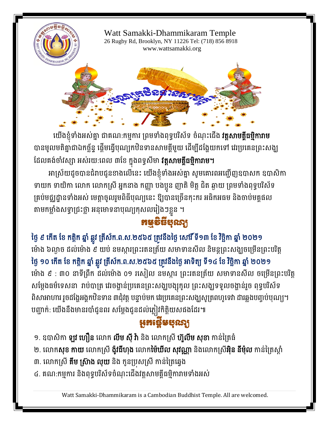

យេងខ្ញុំទាងអស់គ្នា ជាគណ:កម្មការ ព្រមទាងពុទ្ធបរសទ ចណុះជេង **រត្តសាមគ្គធម្មការាម** បានមូលមតិគ្នាជាឯកច្ឆ័ន្ទ ផ្តើមធ្វើបុណ្យកឋិនទានសាមគ្គីមួយ ដើម្បីដង្ហែយកទៅ វេរប្រគេនព្រះសង្ឃ ដែលគង់ចាំវស្សា អស់រយ:ពេល ៣ខែ ក្នុងពទ្ធសីមា **វត្តសាមគ្គីធម្មិការាម។** 

អាស្រយដូចបានជំរាបជូនខាងលេនេះ យេងខ្ញុំទាងអស់គ្នា សូមគោរពអញ្ជេញឧបាសក ឧបាសកា ទាយក ទាយិកា លោក លោកស្រី អ្នកនាង កញ្ញា បងប្អូន ញាតិ មិត្ត ជិត ឆ្ងាយ ព្រមទាំងពុទ្ធបរិស័ទ គ្រប់មជ្ឈដ្ឋានទាំងអស់ មេត្តាចូលរួមពិធីបុណ្យនេះ ឱ្យបានច្រើនកុះករ អធិកអធម និងចាប់មគ្គផល តាមកម្លាំងសទ្ធាជ្រះថ្លា អនុមោទនាបុណ្យកុសលរៀងៗខ្លួន ។

## កម្មវិធីបុណ្យ

ថ្ងៃ ៩ កេត ខេ កត្តក ឆ្នា ឆ្លូវ ត្រសក.ព.ស.២៥៦៥ ត្រូវនងថ្ងេ សោរ ទ១៣ ខេ រច្ឆកា ឆ្នា ២០២១ ម៉ោង ៦ល្ងាច ដល់ម៉ោង ៩ យប់ នមស្ការព្រះរតនត្រ័យ សមាទានសីល និមន្តព្រះសង្ឃចម្រើនព្រះបរិត្ត ថ្ងៃ ១០ កេត ខេ កត្តក ឆ្នា ឆ្លូវ ត្រសក.ព.ស.២៥៦៥ ត្រូវនងថ្ងេ អាទត្យ ទ១៤ ខេ វច្ឆកា ឆ្នា ២០២១ ម៉ោង ៩ : ៣០ នាទីព្រឹក ដល់ម៉ោង ០១ រសៀល នមស្ការ ព្រះរតនត្រ័យ សមាទានសីល ចម្រើនព្រះបរិត្ត សម្តេងធមទេសនា រាប់បាត្រ រេរចង្ហានប្រគេនព្រះសង្ឃបង្សុកូល ព្រះសង្ឃទទួលចង្ហានរួច ពុទ្ធបរសទ ពិសាអាហារ រួចដង្ហែអង្គកឋិនទាន ៣ជុំវត្ត បន្ទាប់មក វេរប្រគេនព្រះសង្ឃសូត្រពហូទេវា ដារឆ្លងបញ្ចប់បុណ្យ។ បញ្ជាក់: យើងនឹងមានរបាំជូនពរ សម្ដែងជូនដល់ភ្លៀវកិត្តិយសផងដែរ៕

## អូអង្កេមបុរស្យ

- ១. ឧបាសិកា **ឡូវ ហឿន** លោក **លីម ស៊ី វ៉ា** និង លោកស្រី **ហ៊ួលីម សុខា** កាន់ត្រៃធំ
- ២. លោក**សុខ កាយ** លោកស្រី **ង៉ូវធីហុង** លោក**ម៉ៃឃីល សុវណ្ណា** និងលោកស្រី**អ៊ិន នីម៉ុល** កាន់ត្រៃស្ដាំ
- ៣. លោកស្រី **គីម ស្រ៊ាង លុយ** និង កូនប្រសស្រី កាន់ព្រៃឆ្វេង
- ៤. គណ:កម្មការ និងពុទ្ធបរិស័ទចំណុះជើងវត្តសាមគ្គីធម្មិការាមទាំងអស់

Watt Samakki-Dhammikaram is a Cambodian Buddhist Temple. All are welcomed.